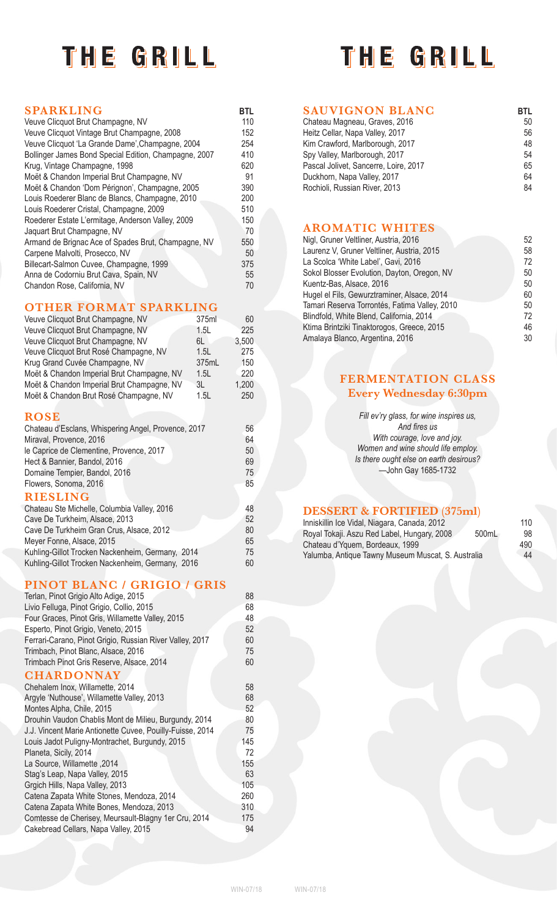# THE GRILL

# THE GRILL

| BTL |
|-----|
| 50  |
| 56  |
| 48  |
| 54  |
| 65  |
| 64  |
| 84  |

#### **SAUVIGNON BLANC** Chateau Magneau, Graves, 2016

| Unaluda magnuda, Uravus, Zu iu        | <u>uu</u> |
|---------------------------------------|-----------|
| Heitz Cellar, Napa Valley, 2017       | 56        |
| Kim Crawford, Marlborough, 2017       | 48        |
| Spy Valley, Marlborough, 2017         | 54        |
| Pascal Jolivet, Sancerre, Loire, 2017 | 65        |
| Duckhorn, Napa Valley, 2017           | 64        |
| Rochioli, Russian River, 2013         | 84        |
|                                       |           |

#### **AROMATIC WHITES**

| Nigl, Gruner Veltliner, Austria, 2016         | 52 |
|-----------------------------------------------|----|
| Laurenz V, Gruner Veltliner, Austria, 2015    | 58 |
| La Scolca 'White Label', Gavi, 2016           | 72 |
| Sokol Blosser Evolution, Dayton, Oregon, NV   | 50 |
| Kuentz-Bas, Alsace, 2016                      | 50 |
| Hugel el Fils, Gewurztraminer, Alsace, 2014   | 60 |
| Tamari Reserva Torrontés, Fatima Valley, 2010 | 50 |
| Blindfold, White Blend, California, 2014      | 72 |
| Ktima Brintziki Tinaktorogos, Greece, 2015    | 46 |
| Amalaya Blanco, Argentina, 2016               | 30 |

## **FERMENTATION CLASS Every Wednesday 6:30pm**

*Fill ev'ry glass, for wine inspires us, And fires us With courage, love and joy. Women and wine should life employ. Is there ought else on earth desirous?* —John Gay 1685-1732

## **DESSERT & FORTIFIED (375ml)**

| Inniskillin Ice Vidal, Niagara, Canada, 2012         | 110 |
|------------------------------------------------------|-----|
| Royal Tokaji. Aszu Red Label, Hungary, 2008<br>500mL | 98  |
| Chateau d'Yquem, Bordeaux, 1999                      | 490 |
| Yalumba, Antique Tawny Museum Muscat, S. Australia   | 44  |

| 110       |
|-----------|
| 98        |
| 490       |
| $\Lambda$ |

## **SPARKLING BTL**

| Veuve Clicquot Brut Champagne, NV                     | 110 |
|-------------------------------------------------------|-----|
| Veuve Clicquot Vintage Brut Champagne, 2008           | 152 |
| Veuve Clicquot 'La Grande Dame', Champagne, 2004      | 254 |
| Bollinger James Bond Special Edition, Champagne, 2007 | 410 |
| Krug, Vintage Champagne, 1998                         | 620 |
| Moët & Chandon Imperial Brut Champagne, NV            | 91  |
| Moët & Chandon 'Dom Pérignon', Champagne, 2005        | 390 |
| Louis Roederer Blanc de Blancs, Champagne, 2010       | 200 |
| Louis Roederer Cristal, Champagne, 2009               | 510 |
| Roederer Estate L'ermitage, Anderson Valley, 2009     | 150 |
| Jaquart Brut Champagne, NV                            | 70  |
| Armand de Brignac Ace of Spades Brut, Champagne, NV   | 550 |
| Carpene Malvolti, Prosecco, NV                        | 50  |
| Billecart-Salmon Cuvee, Champagne, 1999               | 375 |
| Anna de Codorniu Brut Cava, Spain, NV                 | 55  |
| Chandon Rose, California, NV                          | 70  |

## **OTHER FORMAT SPARKLING**

| <b>TERM PARTNER</b><br>$\mathbf{M}$ and $\mathbf{M}$ | 11 N N N |       |
|------------------------------------------------------|----------|-------|
| Veuve Clicquot Brut Champagne, NV                    | 375ml    | 60    |
| Veuve Clicquot Brut Champagne, NV                    | 1.5L     | 225   |
| Veuve Clicquot Brut Champagne, NV                    | 6L I     | 3,500 |
| Veuve Clicquot Brut Rosé Champagne, NV               | 1.5L     | 275   |
| Krug Grand Cuvée Champagne, NV                       | 375mL    | 150   |
| Moët & Chandon Imperial Brut Champagne, NV           | 1.5L     | 220   |
| Moët & Chandon Imperial Brut Champagne, NV           | 3L       | 1,200 |
| Moët & Chandon Brut Rosé Champagne, NV               | 1.5L     | 250   |
|                                                      |          |       |
| <b>ROSE</b>                                          |          |       |
| Chateau d'Esclans, Whispering Angel, Provence, 2017  |          | 56    |
| Miraval, Provence, 2016                              |          | 64    |
| le Caprice de Clementine, Provence, 2017             |          | 50    |
| Hect & Bannier, Bandol, 2016                         |          | 69    |
| Domaine Tempier, Bandol, 2016                        |          | 75    |
| Flowers, Sonoma, 2016                                |          | 85    |
| <b>RIESLING</b>                                      |          |       |
| Chateau Ste Michelle, Columbia Valley, 2016          |          | 48    |
| Cave De Turkhoim, Aleaco, 2012                       |          | よっ    |

| Chateau Ste Michelle, Columbia Valley, 2016      | 48 |
|--------------------------------------------------|----|
| Cave De Turkheim, Alsace, 2013                   | 52 |
| Cave De Turkheim Gran Crus, Alsace, 2012         | 80 |
| Meyer Fonne, Alsace, 2015                        | 65 |
| Kuhling-Gillot Trocken Nackenheim, Germany, 2014 | 75 |
| Kuhling-Gillot Trocken Nackenheim, Germany, 2016 | 60 |

#### **PINOT BLANC / GRIGIO / GRIS**

| Terlan, Pinot Grigio Alto Adige, 2015                     | 88  |
|-----------------------------------------------------------|-----|
| Livio Felluga, Pinot Grigio, Collio, 2015                 | 68  |
| Four Graces, Pinot Gris, Willamette Valley, 2015          | 48  |
| Esperto, Pinot Grigio, Veneto, 2015                       | 52  |
| Ferrari-Carano, Pinot Grigio, Russian River Valley, 2017  | 60  |
| Trimbach, Pinot Blanc, Alsace, 2016                       | 75  |
| Trimbach Pinot Gris Reserve, Alsace, 2014                 | 60  |
| <b>CHARDONNAY</b>                                         |     |
| Chehalem Inox, Willamette, 2014                           | 58  |
| Argyle 'Nuthouse', Willamette Valley, 2013                | 68  |
| Montes Alpha, Chile, 2015                                 | 52  |
| Drouhin Vaudon Chablis Mont de Milieu, Burgundy, 2014     | 80  |
| J.J. Vincent Marie Antionette Cuvee, Pouilly-Fuisse, 2014 | 75  |
| Louis Jadot Puligny-Montrachet, Burgundy, 2015            | 145 |
| Planeta, Sicily, 2014                                     | 72  |
| La Source, Willamette, 2014                               | 155 |
| Stag's Leap, Napa Valley, 2015                            | 63  |
| Grgich Hills, Napa Valley, 2013                           | 105 |
| Catena Zapata White Stones, Mendoza, 2014                 | 260 |
| Catena Zapata White Bones, Mendoza, 2013                  | 310 |
| Comtesse de Cherisey, Meursault-Blagny 1er Cru, 2014      | 175 |
| Cakebread Cellars, Napa Valley, 2015                      | 94  |
|                                                           |     |